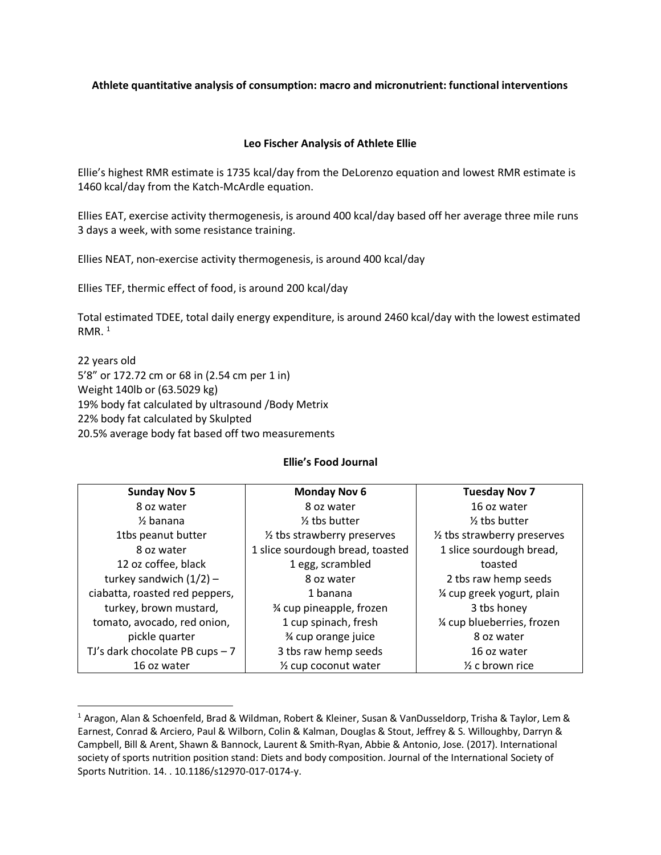## **Athlete quantitative analysis of consumption: macro and micronutrient: functional interventions**

## **Leo Fischer Analysis of Athlete Ellie**

Ellie's highest RMR estimate is 1735 kcal/day from the DeLorenzo equation and lowest RMR estimate is 1460 kcal/day from the Katch-McArdle equation.

Ellies EAT, exercise activity thermogenesis, is around 400 kcal/day based off her average three mile runs 3 days a week, with some resistance training.

Ellies NEAT, non-exercise activity thermogenesis, is around 400 kcal/day

Ellies TEF, thermic effect of food, is around 200 kcal/day

Total estimated TDEE, total daily energy expenditure, is around 2460 kcal/day with the lowest estimated RMR. $<sup>1</sup>$ </sup>

22 years old 5'8" or 172.72 cm or 68 in (2.54 cm per 1 in) Weight 140lb or (63.5029 kg) 19% body fat calculated by ultrasound /Body Metrix 22% body fat calculated by Skulpted 20.5% average body fat based off two measurements

 $\overline{\phantom{a}}$ 

#### **Ellie's Food Journal**

| <b>Sunday Nov 5</b>              | <b>Monday Nov 6</b>               | <b>Tuesday Nov 7</b>                   |  |  |
|----------------------------------|-----------------------------------|----------------------------------------|--|--|
| 8 oz water                       | 8 oz water                        | 16 oz water                            |  |  |
| $\frac{1}{2}$ banana             | $\frac{1}{2}$ tbs butter          | $\frac{1}{2}$ tbs butter               |  |  |
| 1tbs peanut butter               | 1/2 tbs strawberry preserves      | $\frac{1}{2}$ tbs strawberry preserves |  |  |
| 8 oz water                       | 1 slice sourdough bread, toasted  | 1 slice sourdough bread,               |  |  |
| 12 oz coffee, black              | 1 egg, scrambled                  | toasted                                |  |  |
| turkey sandwich $(1/2)$ -        | 8 oz water                        | 2 tbs raw hemp seeds                   |  |  |
| ciabatta, roasted red peppers,   | 1 banana                          | 1/4 cup greek yogurt, plain            |  |  |
| turkey, brown mustard,           | % cup pineapple, frozen           | 3 tbs honey                            |  |  |
| tomato, avocado, red onion,      | 1 cup spinach, fresh              | 1/4 cup blueberries, frozen            |  |  |
| pickle quarter                   | % cup orange juice                | 8 oz water                             |  |  |
| TJ's dark chocolate PB cups $-7$ | 3 tbs raw hemp seeds              | 16 oz water                            |  |  |
| 16 oz water                      | 1/ <sub>2</sub> cup coconut water | $\frac{1}{2}$ c brown rice             |  |  |

<sup>1</sup> Aragon, Alan & Schoenfeld, Brad & Wildman, Robert & Kleiner, Susan & VanDusseldorp, Trisha & Taylor, Lem & Earnest, Conrad & Arciero, Paul & Wilborn, Colin & Kalman, Douglas & Stout, Jeffrey & S. Willoughby, Darryn & Campbell, Bill & Arent, Shawn & Bannock, Laurent & Smith-Ryan, Abbie & Antonio, Jose. (2017). International society of sports nutrition position stand: Diets and body composition. Journal of the International Society of Sports Nutrition. 14. . 10.1186/s12970-017-0174-y.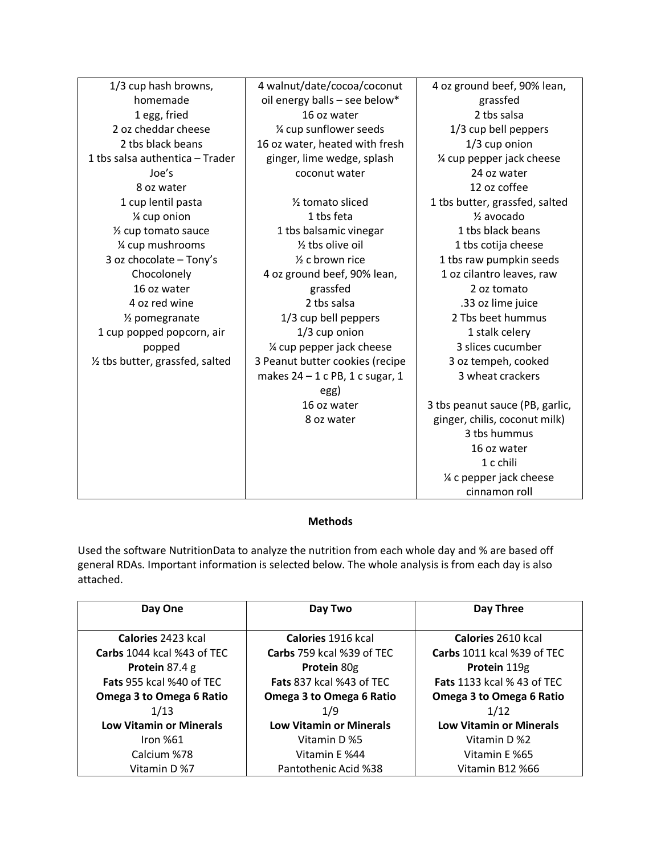| 1/3 cup hash browns,             | 4 walnut/date/cocoa/coconut       | 4 oz ground beef, 90% lean,     |
|----------------------------------|-----------------------------------|---------------------------------|
| homemade                         | oil energy balls - see below*     | grassfed                        |
| 1 egg, fried                     | 16 oz water                       | 2 tbs salsa                     |
| 2 oz cheddar cheese              | 1/4 cup sunflower seeds           | 1/3 cup bell peppers            |
| 2 tbs black beans                | 16 oz water, heated with fresh    | $1/3$ cup onion                 |
| 1 tbs salsa authentica - Trader  | ginger, lime wedge, splash        | 1/4 cup pepper jack cheese      |
| Joe's                            | coconut water                     | 24 oz water                     |
| 8 oz water                       |                                   | 12 oz coffee                    |
| 1 cup lentil pasta               | 1/ <sub>2</sub> tomato sliced     | 1 tbs butter, grassfed, salted  |
| % cup onion                      | 1 tbs feta                        | $\frac{1}{2}$ avocado           |
| 1/ <sub>2</sub> cup tomato sauce | 1 tbs balsamic vinegar            | 1 tbs black beans               |
| 1⁄4 cup mushrooms                | 1/ <sub>2</sub> tbs olive oil     | 1 tbs cotija cheese             |
| 3 oz chocolate - Tony's          | $\frac{1}{2}$ c brown rice        | 1 tbs raw pumpkin seeds         |
| Chocolonely                      | 4 oz ground beef, 90% lean,       | 1 oz cilantro leaves, raw       |
| 16 oz water                      | grassfed                          | 2 oz tomato                     |
| 4 oz red wine                    | 2 tbs salsa                       | .33 oz lime juice               |
| 1/ <sub>2</sub> pomegranate      | 1/3 cup bell peppers              | 2 Tbs beet hummus               |
| 1 cup popped popcorn, air        | $1/3$ cup onion                   | 1 stalk celery                  |
| popped                           | 1/4 cup pepper jack cheese        | 3 slices cucumber               |
| 1/2 tbs butter, grassfed, salted | 3 Peanut butter cookies (recipe   | 3 oz tempeh, cooked             |
|                                  | makes $24 - 1$ c PB, 1 c sugar, 1 | 3 wheat crackers                |
|                                  | egg)                              |                                 |
|                                  | 16 oz water                       | 3 tbs peanut sauce (PB, garlic, |
|                                  | 8 oz water                        | ginger, chilis, coconut milk)   |
|                                  |                                   | 3 tbs hummus                    |
|                                  |                                   | 16 oz water                     |
|                                  |                                   | 1 c chili                       |
|                                  |                                   | % c pepper jack cheese          |
|                                  |                                   | cinnamon roll                   |

## **Methods**

Used the software NutritionData to analyze the nutrition from each whole day and % are based off general RDAs. Important information is selected below. The whole analysis is from each day is also attached.

| Day One                        | Day Two                         | Day Three                         |
|--------------------------------|---------------------------------|-----------------------------------|
|                                |                                 |                                   |
| Calories 2423 kcal             | Calories 1916 kcal              | Calories 2610 kcal                |
| Carbs 1044 kcal %43 of TEC     | Carbs 759 kcal %39 of TEC       | Carbs 1011 kcal %39 of TEC        |
| Protein 87.4 g                 | Protein 80g                     | Protein 119g                      |
| Fats 955 kcal %40 of TEC       | <b>Fats 837 kcal %43 of TEC</b> | <b>Fats</b> 1133 kcal % 43 of TEC |
| Omega 3 to Omega 6 Ratio       | Omega 3 to Omega 6 Ratio        | Omega 3 to Omega 6 Ratio          |
| 1/13                           | 1/9                             | 1/12                              |
| <b>Low Vitamin or Minerals</b> | <b>Low Vitamin or Minerals</b>  | <b>Low Vitamin or Minerals</b>    |
| Iron $%61$                     | Vitamin D %5                    | Vitamin D %2                      |
| Calcium %78                    | Vitamin E %44                   | Vitamin E %65                     |
| Vitamin D %7                   | Pantothenic Acid %38            | Vitamin B12 %66                   |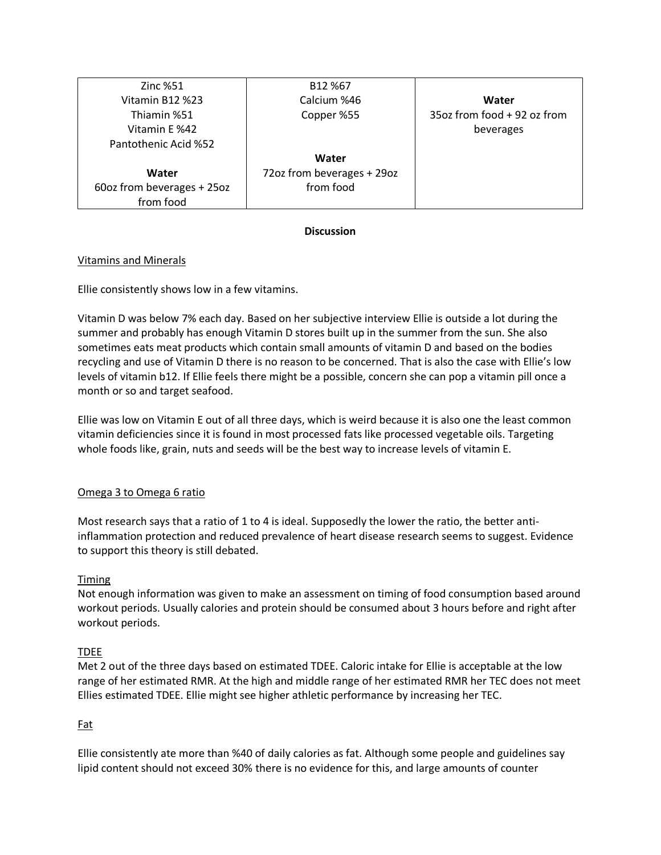| <b>Zinc %51</b>            | B12 %67                    |                             |
|----------------------------|----------------------------|-----------------------------|
| Vitamin B12 %23            | Calcium %46                | Water                       |
| Thiamin %51                | Copper %55                 | 35oz from food + 92 oz from |
| Vitamin E %42              |                            | beverages                   |
| Pantothenic Acid %52       |                            |                             |
|                            | Water                      |                             |
| Water                      | 72oz from beverages + 29oz |                             |
| 60oz from beverages + 25oz | from food                  |                             |
| from food                  |                            |                             |

# **Discussion**

# Vitamins and Minerals

Ellie consistently shows low in a few vitamins.

Vitamin D was below 7% each day. Based on her subjective interview Ellie is outside a lot during the summer and probably has enough Vitamin D stores built up in the summer from the sun. She also sometimes eats meat products which contain small amounts of vitamin D and based on the bodies recycling and use of Vitamin D there is no reason to be concerned. That is also the case with Ellie's low levels of vitamin b12. If Ellie feels there might be a possible, concern she can pop a vitamin pill once a month or so and target seafood.

Ellie was low on Vitamin E out of all three days, which is weird because it is also one the least common vitamin deficiencies since it is found in most processed fats like processed vegetable oils. Targeting whole foods like, grain, nuts and seeds will be the best way to increase levels of vitamin E.

#### Omega 3 to Omega 6 ratio

Most research says that a ratio of 1 to 4 is ideal. Supposedly the lower the ratio, the better antiinflammation protection and reduced prevalence of heart disease research seems to suggest. Evidence to support this theory is still debated.

#### Timing

Not enough information was given to make an assessment on timing of food consumption based around workout periods. Usually calories and protein should be consumed about 3 hours before and right after workout periods.

#### TDEE

Met 2 out of the three days based on estimated TDEE. Caloric intake for Ellie is acceptable at the low range of her estimated RMR. At the high and middle range of her estimated RMR her TEC does not meet Ellies estimated TDEE. Ellie might see higher athletic performance by increasing her TEC.

# Fat

Ellie consistently ate more than %40 of daily calories as fat. Although some people and guidelines say lipid content should not exceed 30% there is no evidence for this, and large amounts of counter